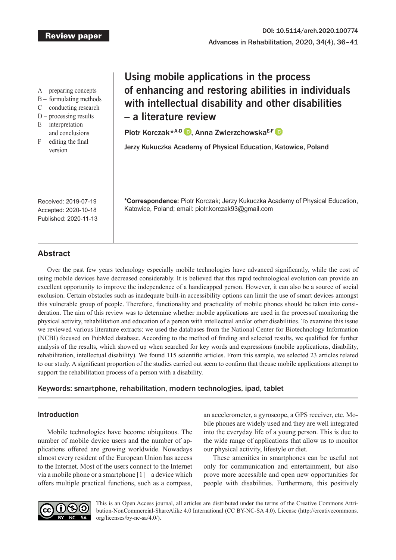- A preparing concepts
- B formulating methods
- C conducting research
- D processing results
- $E$  interpretation
- and conclusions
- $F -$  editing the final version

# **Using mobile applications in the process of enhancing and restoring abilities in individuals with intellectual disability and other disabilities – a literature review**

PiotrKorczak<sup>\*A-D</sup> D, Anna Zwierzchowska<sup>E-F</sup> D

Jerzy Kukuczka Academy of Physical Education, Katowice, Poland

Received: 2019-07-19 Accepted: 2020-10-18 Published: 2020-11-13 **\*Correspondence:** Piotr Korczak; Jerzy Kukuczka Academy of Physical Education, Katowice, Poland; email: piotr.korczak93@gmail.com

# **Abstract**

Over the past few years technology especially mobile technologies have advanced significantly, while the cost of using mobile devices have decreased considerably. It is believed that this rapid technological evolution can provide an excellent opportunity to improve the independence of a handicapped person. However, it can also be a source of social exclusion. Certain obstacles such as inadequate built-in accessibility options can limit the use of smart devices amongst this vulnerable group of people. Therefore, functionality and practicality of mobile phones should be taken into consideration. The aim of this review was to determine whether mobile applications are used in the processof monitoring the physical activity, rehabilitation and education of a person with intellectual and/or other disabilities. To examine this issue we reviewed various literature extracts: we used the databases from the National Center for Biotechnology Information (NCBI) focused on PubMed database. According to the method of finding and selected results, we qualified for further analysis of the results, which showed up when searched for key words and expressions (mobile applications, disability, rehabilitation, intellectual disability). We found 115 scientific articles. From this sample, we selected 23 articles related to our study. A significant proportion of the studies carried out seem to confirm that theuse mobile applications attempt to support the rehabilitation process of a person with a disability.

# Keywords: smartphone, rehabilitation, modern technologies, ipad, tablet

# Introduction

Mobile technologies have become ubiquitous. The number of mobile device users and the number of applications offered are growing worldwide. Nowadays almost every resident of the European Union has access to the Internet. Most of the users connect to the Internet via a mobile phone or a smartphone  $[1]$  – a device which offers multiple practical functions, such as a compass,

an accelerometer, a gyroscope, a GPS receiver, etc. Mobile phones are widely used and they are well integrated into the everyday life of a young person. This is due to the wide range of applications that allow us to monitor our physical activity, lifestyle or diet.

These amenities in smartphones can be useful not only for communication and entertainment, but also prove more accessible and open new opportunities for people with disabilities. Furthermore, this positively



This is an Open Access journal, all articles are distributed under the terms of the Creative Commons Attribution-NonCommercial-ShareAlike 4.0 International (CC BY-NC-SA 4.0). License (http://creativecommons. org/licenses/by-nc-sa/4.0/).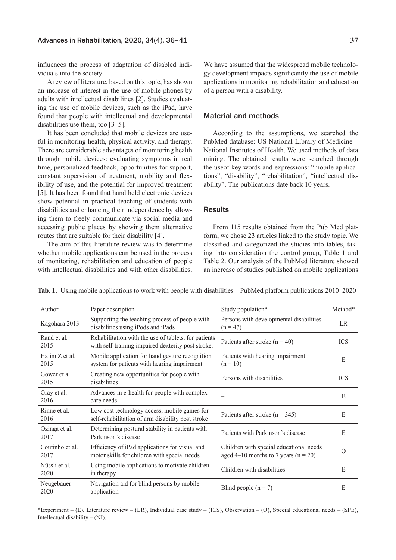influences the process of adaptation of disabled individuals into the society

Areview of literature, based on this topic, has shown an increase of interest in the use of mobile phones by adults with intellectual disabilities [2]. Studies evaluating the use of mobile devices, such as the iPad, have found that people with intellectual and developmental disabilities use them, too [3–5].

It has been concluded that mobile devices are useful in monitoring health, physical activity, and therapy. There are considerable advantages of monitoring health through mobile devices: evaluating symptoms in real time, personalized feedback, opportunities for support, constant supervision of treatment, mobility and flexibility of use, and the potential for improved treatment [5]. It has been found that hand held electronic devices show potential in practical teaching of students with disabilities and enhancing their independence by allowing them to freely communicate via social media and accessing public places by showing them alternative routes that are suitable for their disability [4].

The aim of this literature review was to determine whether mobile applications can be used in the process of monitoring, rehabilitation and education of people with intellectual disabilities and with other disabilities.

We have assumed that the widespread mobile technology development impacts significantly the use of mobile applications in monitoring, rehabilitation and education of a person with a disability.

## Material and methods

According to the assumptions, we searched the PubMed database: US National Library of Medicine – National Institutes of Health. We used methods of data mining. The obtained results were searched through the useof key words and expressions: "mobile applications", "disability", "rehabilitation", "intellectual disability". The publications date back 10 years.

## **Results**

From 115 results obtained from the Pub Med platform, we chose 23 articles linked to the study topic. We classified and categorized the studies into tables, taking into consideration the control group, Table 1 and Table 2. Our analysis of the PubMed literature showed an increase of studies published on mobile applications

**Tab. 1.** Using mobile applications to work with people with disabilities – PubMed platform publications 2010–2020

| Author                  | Paper description                                                                                          | Study population*                                                                   | Method*    |
|-------------------------|------------------------------------------------------------------------------------------------------------|-------------------------------------------------------------------------------------|------------|
| Kagohara 2013           | Supporting the teaching process of people with<br>disabilities using iPods and iPads                       | Persons with developmental disabilities<br>$(n = 47)$                               | LR         |
| Rand et al.<br>2015     | Rehabilitation with the use of tablets, for patients<br>with self-training impaired dexterity post stroke. | Patients after stroke ( $n = 40$ )                                                  | <b>ICS</b> |
| Halim Z et al.<br>2015  | Mobile application for hand gesture recognition<br>system for patients with hearing impairment             | Patients with hearing impairment<br>$(n = 10)$                                      | E          |
| Gower et al.<br>2015    | Creating new opportunities for people with<br>disabilities                                                 | Persons with disabilities                                                           | <b>ICS</b> |
| Gray et al.<br>2016     | Advances in e-health for people with complex<br>care needs.                                                |                                                                                     | E          |
| Rinne et al.<br>2016    | Low cost technology access, mobile games for<br>self-rehabilitation of arm disability post stroke          | Patients after stroke ( $n = 345$ )                                                 | E          |
| Ozinga et al.<br>2017   | Determining postural stability in patients with<br>Parkinson's disease                                     | Patients with Parkinson's disease                                                   | E          |
| Coutinho et al.<br>2017 | Efficiency of iPad applications for visual and<br>motor skills for children with special needs             | Children with special educational needs<br>aged 4–10 months to 7 years ( $n = 20$ ) | $\Omega$   |
| Nüssli et al.<br>2020   | Using mobile applications to motivate children<br>in therapy                                               | Children with disabilities                                                          | Е          |
| Neugebauer<br>2020      | Navigation aid for blind persons by mobile<br>application                                                  | Blind people $(n = 7)$                                                              | E          |

\*Experiment – (E), Literature review – (LR), Individual case study – (ICS), Observation – (O), Special educational needs – (SPE), Intellectual disability  $- (NI)$ .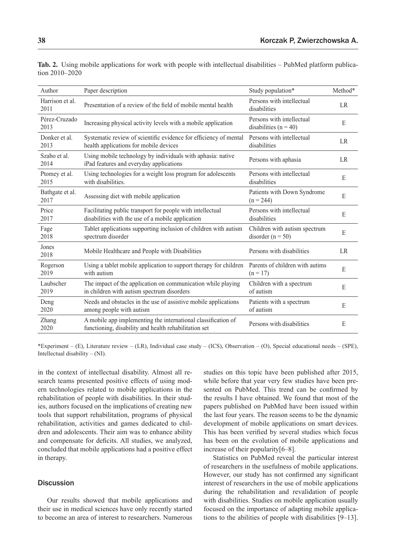| Author                  | Paper description                                                                                                      | Study population*                                      | Method* |
|-------------------------|------------------------------------------------------------------------------------------------------------------------|--------------------------------------------------------|---------|
| Harrison et al.<br>2011 | Presentation of a review of the field of mobile mental health                                                          | Persons with intellectual<br>disabilities              | LR      |
| Pérez-Cruzado<br>2013   | Increasing physical activity levels with a mobile application                                                          | Persons with intellectual<br>disabilities $(n = 40)$   | E       |
| Donker et al.<br>2013   | Systematic review of scientific evidence for efficiency of mental<br>health applications for mobile devices            | Persons with intellectual<br>disabilities              | LR      |
| Szabo et al.<br>2014    | Using mobile technology by individuals with aphasia: native<br>iPad features and everyday applications                 | Persons with aphasia                                   | LR      |
| Ptomey et al.<br>2015   | Using technologies for a weight loss program for adolescents<br>with disabilities.                                     | Persons with intellectual<br>disabilities              | E       |
| Bathgate et al.<br>2017 | Assessing diet with mobile application                                                                                 | Patients with Down Syndrome<br>$(n = 244)$             | E       |
| Price<br>2017           | Facilitating public transport for people with intellectual<br>disabilities with the use of a mobile application        | Persons with intellectual<br>disabilities              | E       |
| Fage<br>2018            | Tablet applications supporting inclusion of children with autism<br>spectrum disorder                                  | Children with autism spectrum<br>disorder ( $n = 50$ ) | E       |
| Jones<br>2018           | Mobile Healthcare and People with Disabilities                                                                         | Persons with disabilities                              | LR      |
| Rogerson<br>2019        | Using a tablet mobile application to support therapy for children<br>with autism                                       | Parents of children with autims<br>$(n = 17)$          | E       |
| Laubscher<br>2019       | The impact of the application on communication while playing<br>in children with autism spectrum disorders             | Children with a spectrum<br>of autism                  | E       |
| Deng<br>2020            | Needs and obstacles in the use of assistive mobile applications<br>among people with autism                            | Patients with a spectrum<br>of autism                  | E       |
| Zhang<br>2020           | A mobile app implementing the international classification of<br>functioning, disability and health rehabilitation set | Persons with disabilities                              | E       |

**Tab. 2.** Using mobile applications for work with people with intellectual disabilities – PubMed platform publication 2010–2020

\*Experiment – (E), Literature review – (LR), Individual case study – (ICS), Observation – (O), Special educational needs – (SPE), Intellectual disability – (NI).

in the context of intellectual disability. Almost all research teams presented positive effects of using modern technologies related to mobile applications in the rehabilitation of people with disabilities. In their studies, authors focused on the implications of creating new tools that support rehabilitation, programs of physical rehabilitation, activities and games dedicated to children and adolescents. Their aim was to enhance ability and compensate for deficits. All studies, we analyzed, concluded that mobile applications had a positive effect in therapy.

# **Discussion**

Our results showed that mobile applications and their use in medical sciences have only recently started to become an area of interest to researchers. Numerous

studies on this topic have been published after 2015, while before that year very few studies have been presented on PubMed. This trend can be confirmed by the results I have obtained. We found that most of the papers published on PubMed have been issued within the last four years. The reason seems to be the dynamic development of mobile applications on smart devices. This has been verified by several studies which focus has been on the evolution of mobile applications and increase of their popularity[6–8].

Statistics on PubMed reveal the particular interest of researchers in the usefulness of mobile applications. However, our study has not confirmed any significant interest of researchers in the use of mobile applications during the rehabilitation and revalidation of people with disabilities. Studies on mobile application usually focused on the importance of adapting mobile applications to the abilities of people with disabilities [9–13].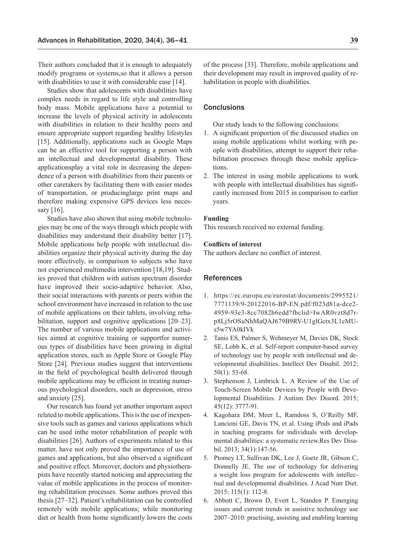Their authors concluded that it is enough to adequately modify programs or systems,so that it allows a person with disabilities to use it with considerable ease [14].

Studies show that adolescents with disabilities have complex needs in regard to life style and controlling body mass. Mobile applications have a potential to increase the levels of physical activity in adolescents with disabilities in relation to their healthy peers and ensure appropriate support regarding healthy lifestyles [15]. Additionally, applications such as Google Maps can be an effective tool for supporting a person with an intellectual and developmental disability. These applicationsplay a vital role in decreasing the dependence of a person with disabilities from their parents or other caretakers by facilitating them with easier modes of transportation, or producinglarge print maps and therefore making expensive GPS devices less necessary  $[16]$ .

Studies have also shown that using mobile technologies may be one of the ways through which people with disabilities may understand their disability better [17]. Mobile applications help people with intellectual disabilities organize their physical activity during the day more effectively, in comparison to subjects who have not experienced multimedia intervention [18,19]. Studies proved that children with autism spectrum disorder have improved their socio-adaptive behavior. Also, their social interactions with parents or peers within the school environment have increased in relation to the use of mobile applications on their tablets, involving rehabilitation, support and cognitive applications [20–23]. The number of various mobile applications and activities aimed at cognitive training or supportfor numerous types of disabilities have been growing in digital application stores, such as Apple Store or Google Play Store [24]. Previous studies suggest that interventions in the field of psychological health delivered through mobile applications may be efficient in treating numerous psychological disorders, such as depression, stress and anxiety [25].

Our research has found yet another important aspect related to mobile applications. This is the use of inexpensive tools such as games and various applications which can be used inthe motor rehabilitation of people with disabilities [26]. Authors of experiments related to this matter, have not only proved the importance of use of games and applications, but also observed a significant and positive effect. Moreover, doctors and physiotherapists have recently started noticing and appreciating the value of mobile applications in the process of monitoring rehabilitation processes. Some authors proved this thesis [27–32]. Patient's rehabilitation can be controlled remotely with mobile applications; while monitoring diet or health from home significantly lowers the costs

of the process [33]. Therefore, mobile applications and their development may result in improved quality of rehabilitation in people with disabilities.

## **Conclusions**

Our study leads to the following conclusions:

- 1. A significant proportion of the discussed studies on using mobile applications whilst working with people with disabilities, attempt to support their rehabilitation processes through these mobile applications.
- 2. The interest in using mobile applications to work with people with intellectual disabilities has significantly increased from 2015 in comparison to earlier years.

#### **Funding**

This research received no external funding.

## **Conflicts of interest**

The authors declare no conflict of interest.

#### References

- 1. https://ec.europa.eu/eurostat/documents/2995521/ 7771139/9-20122016-BP-EN.pdf/f023d81a-dce2- 4959-93e3-8cc7082b6edd?fbclid=IwAR0vzt8d7rp8Lj5rOSuNhMaQAJ679B9RV-U1glGctx3L1cMUs5w7YA0kIVk
- 2. Tanis ES, Palmer S, Wehmeyer M, Davies DK, Stock SE, Lobb K, et al. Self-report computer-based survey of technology use by people with intellectual and developmental disabilities. Intellect Dev Disabil. 2012; 50(1): 53-68.
- 3. Stephenson J, Limbrick L. A Review of the Use of Touch-Screen Mobile Devices by People with Developmental Disabilities. J Autism Dev Disord. 2015; 45(12): 3777-91.
- 4. Kagohara DM, Meer L, Ramdoss S, O'Reilly MF, Lancioni GE, Davis TN, et al. Using iPods and iPads in teaching programs for individuals with developmental disabilities: a systematic review.Res Dev Disabil. 2013; 34(1):147-56.
- 5. Ptomey LT, Sullivan DK, Lee J, Goetz JR, Gibson C, Donnelly JE. The use of technology for delivering a weight loss program for adolescents with intellectual and developmental disabilities. J Acad Nutr Diet. 2015; 115(1): 112-8.
- 6. Abbott C, Brown D, Evett L, Standen P. Emerging issues and current trends in assistive technology use 2007–2010: practising, assisting and enabling learning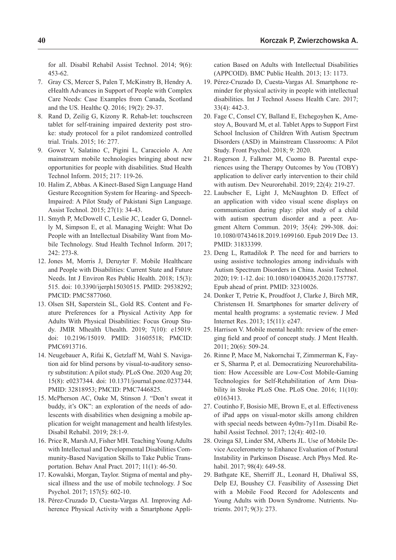for all. Disabil Rehabil Assist Technol. 2014; 9(6): 453-62.

- 7. Gray CS, Mercer S, Palen T, McKinstry B, Hendry A. eHealth Advances in Support of People with Complex Care Needs: Case Examples from Canada, Scotland and the US. Healthc Q. 2016; 19(2): 29-37.
- 8. Rand D, Zeilig G, Kizony R. Rehab-let: touchscreen tablet for self-training impaired dexterity post stroke: study protocol for a pilot randomized controlled trial. Trials. 2015; 16: 277.
- 9. Gower V, Salatino C, Pigini L, Caracciolo A. Are mainstream mobile technologies bringing about new opportunities for people with disabilities. Stud Health Technol Inform. 2015; 217: 119-26.
- 10. Halim Z, Abbas. A Kinect-Based Sign Language Hand Gesture Recognition System for Hearing- and Speech-Impaired: A Pilot Study of Pakistani Sign Language. Assist Technol. 2015; 27(1): 34-43.
- 11. Smyth P, McDowell C, Leslie JC, Leader G, Donnelly M, Simpson E, et al. Managing Weight: What Do People with an Intellectual Disability Want from Mobile Technology. Stud Health Technol Inform. 2017; 242: 273-8.
- 12. Jones M, Morris J, Deruyter F. Mobile Healthcare and People with Disabilities: Current State and Future Needs. Int J Environ Res Public Health. 2018; 15(3): 515. doi: 10.3390/ijerph15030515. PMID: 29538292; PMCID: PMC5877060.
- 13. Olsen SH, Saperstein SL, Gold RS. Content and Feature Preferences for a Physical Activity App for Adults With Physical Disabilities: Focus Group Study. JMIR Mhealth Uhealth. 2019; 7(10): e15019. doi: 10.2196/15019. PMID: 31605518; PMCID: PMC6913716.
- 14. Neugebauer A, Rifai K, Getzlaff M, Wahl S. Navigation aid for blind persons by visual-to-auditory sensory substitution: A pilot study. PLoS One. 2020 Aug 20; 15(8): e0237344. doi: 10.1371/journal.pone.0237344. PMID: 32818953; PMCID: PMC7446825.
- 15. McPherson AC, Oake M, Stinson J. "Don't sweat it buddy, it's OK": an exploration of the needs of adolescents with disabilities when designing a mobile application for weight management and health lifestyles. Disabil Rehabil. 2019; 28:1-9.
- 16. Price R, Marsh AJ, Fisher MH. Teaching Young Adults with Intellectual and Developmental Disabilities Community-Based Navigation Skills to Take Public Transportation. Behav Anal Pract. 2017; 11(1): 46-50.
- 17. Kowalski, Morgan, Taylor. Stigma of mental and physical illness and the use of mobile technology. J Soc Psychol. 2017; 157(5): 602-10.
- 18. Pérez-Cruzado D, Cuesta-Vargas AI. Improving Adherence Physical Activity with a Smartphone Appli-

cation Based on Adults with Intellectual Disabilities (APPCOID). BMC Public Health. 2013; 13: 1173.

- 19. Pérez-Cruzado D, Cuesta-Vargas AI. Smartphone reminder for physical activity in people with intellectual disabilities. Int J Technol Assess Health Care. 2017; 33(4): 442-3.
- 20. Fage C, Consel CY, Balland E, Etchegoyhen K, Amestoy A, Bouvard M, et al. Tablet Apps to Support First School Inclusion of Children With Autism Spectrum Disorders (ASD) in Mainstream Classrooms: A Pilot Study. Front Psychol. 2018; 9: 2020.
- 21. Rogerson J, Falkmer M, Cuomo B. Parental experiences using the Therapy Outcomes by You (TOBY) application to deliver early intervention to their child with autism. Dev Neurorehabil. 2019; 22(4): 219-27.
- 22. Laubscher E, Light J, McNaughton D. Effect of an application with video visual scene displays on communication during play: pilot study of a child with autism spectrum disorder and a peer. Augment Altern Commun. 2019; 35(4): 299-308. doi: 10.1080/07434618.2019.1699160. Epub 2019 Dec 13. PMID: 31833399.
- 23. Deng L, Rattadilok P. The need for and barriers to using assistive technologies among individuals with Autism Spectrum Disorders in China. Assist Technol. 2020; 19: 1-12. doi: 10.1080/10400435.2020.1757787. Epub ahead of print. PMID: 32310026.
- 24. Donker T, Petrie K, Proudfoot J, Clarke J, Birch MR, Christensen H. Smartphones for smarter delivery of mental health programs: a systematic review. J Med Internet Res. 2013; 15(11): e247.
- 25. Harrison V. Mobile mental health: review of the emerging field and proof of concept study. J Ment Health. 2011; 20(6): 509-24.
- 26. Rinne P, Mace M, Nakornchai T, Zimmerman K, Fayer S, Sharma P, et al. Democratizing Neurorehabilitation: How Accessible are Low-Cost Mobile-Gaming Technologies for Self-Rehabilitation of Arm Disability in Stroke PLoS One. PLoS One. 2016; 11(10): e0163413.
- 27. Coutinho F, Bosisio ME, Brown E, et al. Effectiveness of iPad apps on visual-motor skills among children with special needs between 4y0m-7y11m. Disabil Rehabil Assist Technol. 2017; 12(4): 402-10.
- 28. Ozinga SJ, Linder SM, Alberts JL. Use of Mobile Device Accelerometry to Enhance Evaluation of Postural Instability in Parkinson Disease. Arch Phys Med. Rehabil. 2017; 98(4): 649-58.
- 29. Bathgate KE, Sherriff JL, Leonard H, Dhaliwal SS, Delp EJ, Boushey CJ. Feasibility of Assessing Diet with a Mobile Food Record for Adolescents and Young Adults with Down Syndrome. Nutrients. Nutrients. 2017; 9(3): 273.